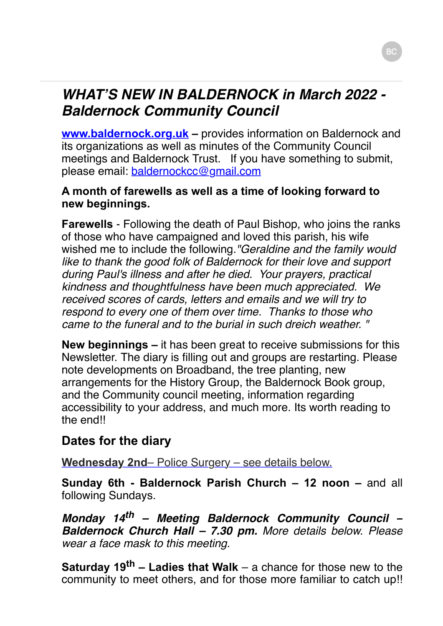# *WHAT'S NEW IN BALDERNOCK in March 2022 - Baldernock Community Council*

**[www.baldernock.org.uk](http://www.baldernock.org.uk/) –** provides information on Baldernock and its organizations as well as minutes of the Community Council meetings and Baldernock Trust. If you have something to submit, please email: [baldernockcc@gmail.com](mailto:baldernockcc@gmail.com)

#### **A month of farewells as well as a time of looking forward to new beginnings.**

**Farewells** - Following the death of Paul Bishop, who joins the ranks of those who have campaigned and loved this parish, his wife wished me to include the following.*"Geraldine and the family would like to thank the good folk of Baldernock for their love and support during Paul's illness and after he died. Your prayers, practical kindness and thoughtfulness have been much appreciated. We received scores of cards, letters and emails and we will try to respond to every one of them over time. Thanks to those who came to the funeral and to the burial in such dreich weather. "*

**New beginnings –** it has been great to receive submissions for this Newsletter. The diary is filling out and groups are restarting. Please note developments on Broadband, the tree planting, new arrangements for the History Group, the Baldernock Book group, and the Community council meeting, information regarding accessibility to your address, and much more. Its worth reading to the end!!

## **Dates for the diary**

**Wednesday 2nd**– Police Surgery – see details below.

**Sunday 6th - Baldernock Parish Church – 12 noon –** and all following Sundays.

*Monday 14th – Meeting Baldernock Community Council – Baldernock Church Hall – 7.30 pm. More details below. Please wear a face mask to this meeting.*

**Saturday 19th – Ladies that Walk** – a chance for those new to the community to meet others, and for those more familiar to catch up!!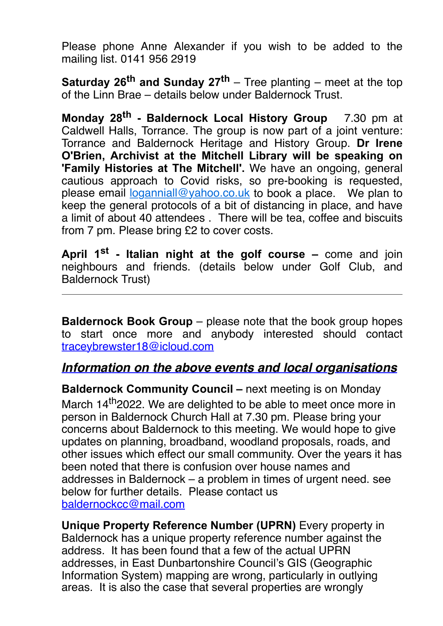Please phone Anne Alexander if you wish to be added to the mailing list. 0141 956 2919

**Saturday 26th and Sunday 27th** – Tree planting – meet at the top of the Linn Brae – details below under Baldernock Trust.

**Monday 28th - Baldernock Local History Group** 7.30 pm at Caldwell Halls, Torrance. The group is now part of a joint venture: Torrance and Baldernock Heritage and History Group. **Dr Irene O'Brien, Archivist at the Mitchell Library will be speaking on 'Family Histories at The Mitchell'.** We have an ongoing, general cautious approach to Covid risks, so pre-booking is requested, please email [loganniall@yahoo.co.uk](mailto:loganniall@yahoo.co.uk) to book a place. We plan to keep the general protocols of a bit of distancing in place, and have a limit of about 40 attendees . There will be tea, coffee and biscuits from 7 pm. Please bring £2 to cover costs.

**April 1st - Italian night at the golf course –** come and join neighbours and friends. (details below under Golf Club, and Baldernock Trust)

**Baldernock Book Group** – please note that the book group hopes to start once more and anybody interested should contact [traceybrewster18@icloud.com](mailto:traceybrewster18@icloud.com)

#### *Information on the above events and local organisations*

**Baldernock Community Council –** next meeting is on Monday March 14<sup>th</sup> 2022. We are delighted to be able to meet once more in person in Baldernock Church Hall at 7.30 pm. Please bring your concerns about Baldernock to this meeting. We would hope to give updates on planning, broadband, woodland proposals, roads, and other issues which effect our small community. Over the years it has been noted that there is confusion over house names and addresses in Baldernock – a problem in times of urgent need. see below for further details. Please contact us [baldernockcc@mail.com](mailto:baldernockcc@mail.com)

**Unique Property Reference Number (UPRN)** Every property in Baldernock has a unique property reference number against the address. It has been found that a few of the actual UPRN addresses, in East Dunbartonshire Council's GIS (Geographic Information System) mapping are wrong, particularly in outlying areas. It is also the case that several properties are wrongly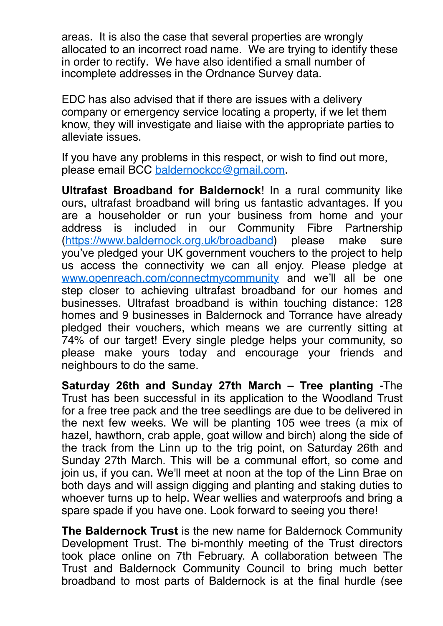areas. It is also the case that several properties are wrongly allocated to an incorrect road name. We are trying to identify these in order to rectify. We have also identified a small number of incomplete addresses in the Ordnance Survey data.

EDC has also advised that if there are issues with a delivery company or emergency service locating a property, if we let them know, they will investigate and liaise with the appropriate parties to alleviate issues.

If you have any problems in this respect, or wish to find out more, please email BCC [baldernockcc@gmail.com.](mailto:baldernockcc@gmail.com)

**Ultrafast Broadband for Baldernock**! In a rural community like ours, ultrafast broadband will bring us fantastic advantages. If you are a householder or run your business from home and your address is included in our Community Fibre Partnership ([https://www.baldernock.org.uk/broadband\)](https://www.baldernock.org.uk/broadband) please make sure you've pledged your UK government vouchers to the project to help us access the connectivity we can all enjoy. Please pledge at [www.openreach.com/connectmycommunity](http://www.openreach.com/connectmycommunity) and we'll all be one step closer to achieving ultrafast broadband for our homes and businesses. Ultrafast broadband is within touching distance: 128 homes and 9 businesses in Baldernock and Torrance have already pledged their vouchers, which means we are currently sitting at 74% of our target! Every single pledge helps your community, so please make yours today and encourage your friends and neighbours to do the same.

**Saturday 26th and Sunday 27th March – Tree planting -**The Trust has been successful in its application to the Woodland Trust for a free tree pack and the tree seedlings are due to be delivered in the next few weeks. We will be planting 105 wee trees (a mix of hazel, hawthorn, crab apple, goat willow and birch) along the side of the track from the Linn up to the trig point, on Saturday 26th and Sunday 27th March. This will be a communal effort, so come and join us, if you can. We'll meet at noon at the top of the Linn Brae on both days and will assign digging and planting and staking duties to whoever turns up to help. Wear wellies and waterproofs and bring a spare spade if you have one. Look forward to seeing you there!

**The Baldernock Trust** is the new name for Baldernock Community Development Trust. The bi-monthly meeting of the Trust directors took place online on 7th February. A collaboration between The Trust and Baldernock Community Council to bring much better broadband to most parts of Baldernock is at the final hurdle (see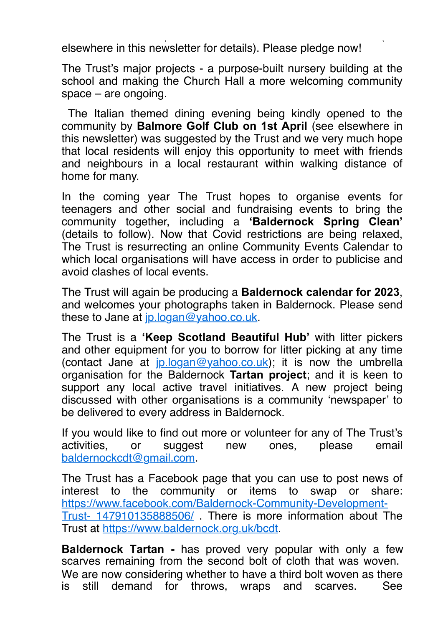broadband to most parts of Baldernock is at the final hurdle (see elsewhere in this newsletter for details). Please pledge now!

The Trust's major projects - a purpose-built nursery building at the school and making the Church Hall a more welcoming community space – are ongoing.

 The Italian themed dining evening being kindly opened to the community by **Balmore Golf Club on 1st April** (see elsewhere in this newsletter) was suggested by the Trust and we very much hope that local residents will enjoy this opportunity to meet with friends and neighbours in a local restaurant within walking distance of home for many.

In the coming year The Trust hopes to organise events for teenagers and other social and fundraising events to bring the community together, including a **'Baldernock Spring Clean'** (details to follow). Now that Covid restrictions are being relaxed, The Trust is resurrecting an online Community Events Calendar to which local organisations will have access in order to publicise and avoid clashes of local events.

The Trust will again be producing a **Baldernock calendar for 2023**, and welcomes your photographs taken in Baldernock. Please send these to Jane at [jp.logan@yahoo.co.uk.](mailto:jp.logan@yahoo.co.uk)

The Trust is a **'Keep Scotland Beautiful Hub'** with litter pickers and other equipment for you to borrow for litter picking at any time (contact Jane at [jp.logan@yahoo.co.uk\)](mailto:jp.logan@yahoo.co.uk); it is now the umbrella organisation for the Baldernock **Tartan project**; and it is keen to support any local active travel initiatives. A new project being discussed with other organisations is a community 'newspaper' to be delivered to every address in Baldernock.

If you would like to find out more or volunteer for any of The Trust's activities, or suggest new ones, please email [baldernockcdt@gmail.com](mailto:baldernockcdt@gmail.com).

The Trust has a Facebook page that you can use to post news of interest to the community or items to swap or share: [https://www.facebook.com/Baldernock-Community-Development-](https://www.facebook.com/Baldernock-Community-Development-Trust-147910135888506/)Trust- 147910135888506/ . There is more information about The Trust at [https://www.baldernock.org.uk/bcdt.](https://www.baldernock.org.uk/bcdt)

**Baldernock Tartan -** has proved very popular with only a few scarves remaining from the second bolt of cloth that was woven. We are now considering whether to have a third bolt woven as there is still demand for throws, wraps and scarves. See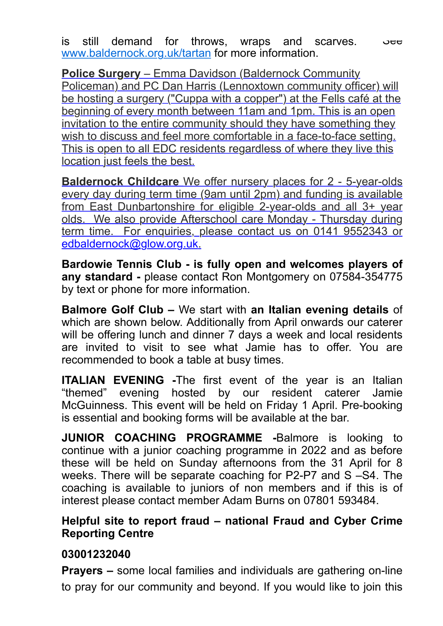is still demand for throws, wraps and scarves.  $\sim$ [www.baldernock.org.uk/tartan](http://www.baldernock.org.uk/tartan) for more information.

**Police Surgery** – Emma Davidson (Baldernock Community Policeman) and PC Dan Harris (Lennoxtown community officer) will be hosting a surgery ("Cuppa with a copper") at the Fells café at the beginning of every month between 11am and 1pm. This is an open invitation to the entire community should they have something they wish to discuss and feel more comfortable in a face-to-face setting. This is open to all EDC residents regardless of where they live this location just feels the best.

**Baldernock Childcare** We offer nursery places for 2 - 5-year-olds every day during term time (9am until 2pm) and funding is available from East Dunbartonshire for eligible 2-year-olds and all 3+ year olds. We also provide Afterschool care Monday - Thursday during term time. For enquiries, please contact us on 0141 9552343 or [edbaldernock@glow.org.uk](mailto:edbaldernock@glow.org.uk).

**Bardowie Tennis Club - is fully open and welcomes players of any standard -** please contact Ron Montgomery on 07584-354775 by text or phone for more information.

**Balmore Golf Club –** We start with **an Italian evening details** of which are shown below. Additionally from April onwards our caterer will be offering lunch and dinner 7 days a week and local residents are invited to visit to see what Jamie has to offer. You are recommended to book a table at busy times.

**ITALIAN EVENING -The first event of the year is an Italian** "themed" evening hosted by our resident caterer Jamie McGuinness. This event will be held on Friday 1 April. Pre-booking is essential and booking forms will be available at the bar.

**JUNIOR COACHING PROGRAMME -**Balmore is looking to continue with a junior coaching programme in 2022 and as before these will be held on Sunday afternoons from the 31 April for 8 weeks. There will be separate coaching for P2-P7 and S –S4. The coaching is available to juniors of non members and if this is of interest please contact member Adam Burns on 07801 593484.

#### **Helpful site to report fraud – national Fraud and Cyber Crime Reporting Centre**

#### **03001232040**

**Prayers –** some local families and individuals are gathering on-line to pray for our community and beyond. If you would like to join this